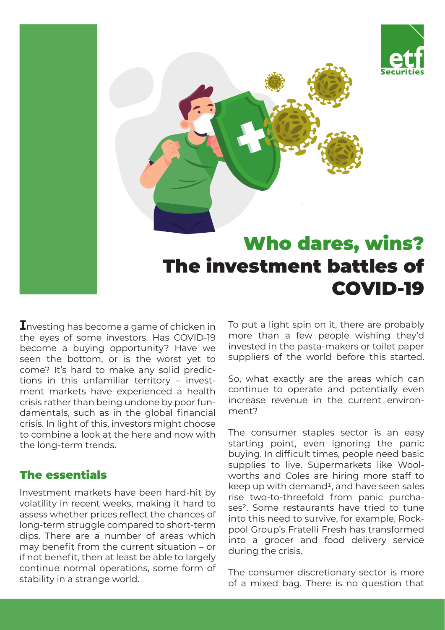

# Who dares, wins? The investment battles of COVID-19

**I**nvesting has become a game of chicken in the eyes of some investors. Has COVID-19 become a buying opportunity? Have we seen the bottom, or is the worst yet to come? It's hard to make any solid predictions in this unfamiliar territory – investment markets have experienced a health crisis rather than being undone by poor fundamentals, such as in the global financial crisis. In light of this, investors might choose to combine a look at the here and now with the long-term trends.

## The essentials

Investment markets have been hard-hit by volatility in recent weeks, making it hard to assess whether prices reflect the chances of long-term struggle compared to short-term dips. There are a number of areas which may benefit from the current situation – or if not benefit, then at least be able to largely continue normal operations, some form of stability in a strange world.

To put a light spin on it, there are probably more than a few people wishing they'd invested in the pasta-makers or toilet paper suppliers of the world before this started.

So, what exactly are the areas which can continue to operate and potentially even increase revenue in the current environment?

The consumer staples sector is an easy starting point, even ignoring the panic buying. In difficult times, people need basic supplies to live. Supermarkets like Woolworths and Coles are hiring more staff to keep up with demand<sup>1</sup>, and have seen sales rise two-to-threefold from panic purchases<sup>2</sup>. Some restaurants have tried to tune into this need to survive, for example, Rockpool Group's Fratelli Fresh has transformed into a grocer and food delivery service during the crisis.

The consumer discretionary sector is more of a mixed bag. There is no question that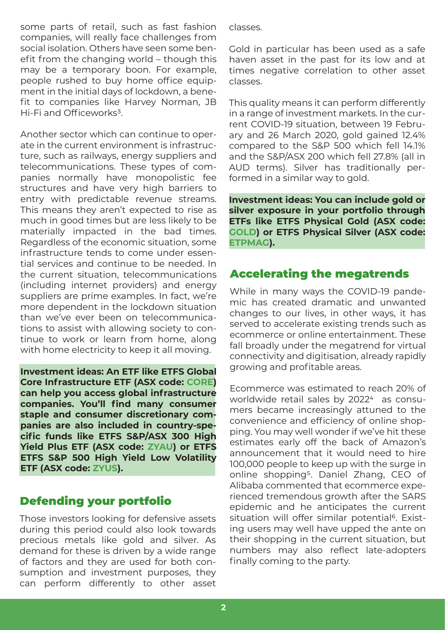some parts of retail, such as fast fashion companies, will really face challenges from social isolation. Others have seen some benefit from the changing world – though this may be a temporary boon. For example, people rushed to buy home office equipment in the initial days of lockdown, a benefit to companies like Harvey Norman, JB Hi-Fi and Officeworks<sup>3</sup>.

Another sector which can continue to operate in the current environment is infrastructure, such as railways, energy suppliers and telecommunications. These types of companies normally have monopolistic fee structures and have very high barriers to entry with predictable revenue streams. This means they aren't expected to rise as much in good times but are less likely to be materially impacted in the bad times. Regardless of the economic situation, some infrastructure tends to come under essential services and continue to be needed. In the current situation, telecommunications (including internet providers) and energy suppliers are prime examples. In fact, we're more dependent in the lockdown situation than we've ever been on telecommunications to assist with allowing society to continue to work or learn from home, along with home electricity to keep it all moving.

**Investment ideas: An ETF like ETFS Global Core Infrastructure ETF (ASX code: [CORE\)](https://www.etfsecurities.com.au/product/core) can help you access global infrastructure companies. You'll find many consumer staple and consumer discretionary companies are also included in country-specific funds like ETFS S&P/ASX 300 High Yield Plus ETF (ASX code: [ZYAU\)](https://www.etfsecurities.com.au/product/zyau) or ETFS ETFS S&P 500 High Yield Low Volatility ETF (ASX code: [ZYUS\)](https://www.etfsecurities.com.au/product/zyus).**

# Defending your portfolio

Those investors looking for defensive assets during this period could also look towards precious metals like gold and silver. As demand for these is driven by a wide range of factors and they are used for both consumption and investment purposes, they can perform differently to other asset

classes.

Gold in particular has been used as a safe haven asset in the past for its low and at times negative correlation to other asset classes.

This quality means it can perform differently in a range of investment markets. In the current COVID-19 situation, between 19 February and 26 March 2020, gold gained 12.4% compared to the S&P 500 which fell 14.1% and the S&P/ASX 200 which fell 27.8% (all in AUD terms). Silver has traditionally performed in a similar way to gold.

**Investment ideas: You can include gold or silver exposure in your portfolio through ETFs like ETFS Physical Gold (ASX code: [GOLD\)](https://www.etfsecurities.com.au/product/gold) or ETFS Physical Silver (ASX code: [ETPMAG](https://www.etfsecurities.com.au/product/etpmag)).**

# Accelerating the megatrends

While in many ways the COVID-19 pandemic has created dramatic and unwanted changes to our lives, in other ways, it has served to accelerate existing trends such as ecommerce or online entertainment. These fall broadly under the megatrend for virtual connectivity and digitisation, already rapidly growing and profitable areas.

Ecommerce was estimated to reach 20% of worldwide retail sales by 2022<sup>4</sup> as consumers became increasingly attuned to the convenience and efficiency of online shopping. You may well wonder if we've hit these estimates early off the back of Amazon's announcement that it would need to hire 100,000 people to keep up with the surge in online shopping5. Daniel Zhang, CEO of Alibaba commented that ecommerce experienced tremendous growth after the SARS epidemic and he anticipates the current situation will offer similar potential<sup>6</sup>. Existing users may well have upped the ante on their shopping in the current situation, but numbers may also reflect late-adopters finally coming to the party.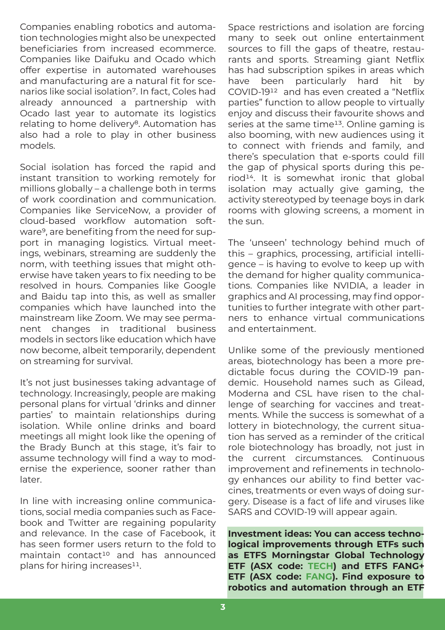Companies enabling robotics and automation technologies might also be unexpected beneficiaries from increased ecommerce. Companies like Daifuku and Ocado which offer expertise in automated warehouses and manufacturing are a natural fit for scenarios like social isolation7. In fact, Coles had already announced a partnership with Ocado last year to automate its logistics relating to home delivery<sup>8</sup>. Automation has also had a role to play in other business models.

Social isolation has forced the rapid and instant transition to working remotely for millions globally – a challenge both in terms of work coordination and communication. Companies like ServiceNow, a provider of cloud-based workflow automation software9, are benefiting from the need for support in managing logistics. Virtual meetings, webinars, streaming are suddenly the norm, with teething issues that might otherwise have taken years to fix needing to be resolved in hours. Companies like Google and Baidu tap into this, as well as smaller companies which have launched into the mainstream like Zoom. We may see permanent changes in traditional business models in sectors like education which have now become, albeit temporarily, dependent on streaming for survival.

It's not just businesses taking advantage of technology. Increasingly, people are making personal plans for virtual 'drinks and dinner parties' to maintain relationships during isolation. While online drinks and board meetings all might look like the opening of the Brady Bunch at this stage, it's fair to assume technology will find a way to modernise the experience, sooner rather than later.

In line with increasing online communications, social media companies such as Facebook and Twitter are regaining popularity and relevance. In the case of Facebook, it has seen former users return to the fold to maintain contact<sup>10</sup> and has announced plans for hiring increases<sup>11</sup>.

Space restrictions and isolation are forcing many to seek out online entertainment sources to fill the gaps of theatre, restaurants and sports. Streaming giant Netflix has had subscription spikes in areas which have been particularly hard hit by COVID-1912 and has even created a "Netflix parties" function to allow people to virtually enjoy and discuss their favourite shows and series at the same time<sup>13</sup>. Online gaming is also booming, with new audiences using it to connect with friends and family, and there's speculation that e-sports could fill the gap of physical sports during this period14. It is somewhat ironic that global isolation may actually give gaming, the activity stereotyped by teenage boys in dark rooms with glowing screens, a moment in the sun.

The 'unseen' technology behind much of this – graphics, processing, artificial intelligence – is having to evolve to keep up with the demand for higher quality communications. Companies like NVIDIA, a leader in graphics and AI processing, may find opportunities to further integrate with other partners to enhance virtual communications and entertainment.

Unlike some of the previously mentioned areas, biotechnology has been a more predictable focus during the COVID-19 pandemic. Household names such as Gilead, Moderna and CSL have risen to the challenge of searching for vaccines and treatments. While the success is somewhat of a lottery in biotechnology, the current situation has served as a reminder of the critical role biotechnology has broadly, not just in the current circumstances. Continuous improvement and refinements in technology enhances our ability to find better vaccines, treatments or even ways of doing surgery. Disease is a fact of life and viruses like SARS and COVID-19 will appear again.

**Investment ideas: You can access technological improvements through ETFs such as ETFS Morningstar Global Technology ETF (ASX code: [TECH](https://www.etfsecurities.com.au/product/tech)) and ETFS FANG+ ETF (ASX code: [FANG\)](https://www.etfsecurities.com.au/product/fang). Find exposure to robotics and automation through an ETF**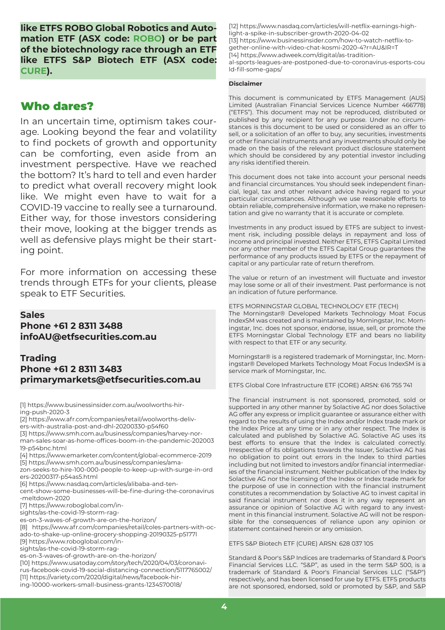**like ETFS ROBO Global Robotics and Automation ETF (ASX code: [ROBO\)](https://www.etfsecurities.com.au/product/robo) or be part of the biotechnology race through an ETF like ETFS S&P Biotech ETF (ASX code: [CURE\)](https://www.etfsecurities.com.au/product/cure).** 

### Who dares?

In an uncertain time, optimism takes courage. Looking beyond the fear and volatility to find pockets of growth and opportunity can be comforting, even aside from an investment perspective. Have we reached the bottom? It's hard to tell and even harder to predict what overall recovery might look like. We might even have to wait for a COVID-19 vaccine to really see a turnaround. Either way, for those investors considering their move, looking at the bigger trends as well as defensive plays might be their starting point.

For more information on accessing these trends through ETFs for your clients, please speak to ETF Securities.

#### **Sales Phone +61 2 8311 3488 infoAU@etfsecurities.com.au**

#### **Trading Phone +61 2 8311 3483 primarymarkets@etfsecurities.com.au**

[1] https://www.businessinsider.com.au/woolworths-hiring-push-2020-3

[2] https://www.afr.com/companies/retail/woolworths-deliv-

ers-with-australia-post-and-dhl-20200330-p54f60

- [3] https://www.smh.com.au/business/companies/harvey-norman-sales-soar-as-home-offices-boom-in-the-pandemic-202003 19-p54bnc.html
- [4] https://www.emarketer.com/content/global-ecommerce-2019 [5] https://www.smh.com.au/business/companies/ama-

zon-seeks-to-hire-100-000-people-to-keep-up-with-surge-in-ord ers-20200317-p54as5.html

[6] https://www.nasdaq.com/articles/alibaba-and-ten-

cent-show-some-businesses-will-be-fine-during-the-coronavirus -meltdown-2020

[7] https://www.roboglobal.com/in-

sights/as-the-covid-19-storm-rag-

es-on-3-waves-of-growth-are-on-the-horizon/

[8] https://www.afr.com/companies/retail/coles-partners-with-ocado-to-shake-up-online-grocery-shopping-20190325-p5177l

[9] https://www.roboglobal.com/in-

sights/as-the-covid-19-storm-rag-

es-on-3-waves-of-growth-are-on-the-horizon/

[10] https://www.usatoday.com/story/tech/2020/04/03/coronavirus-facebook-covid-19-social-distancing-connection/5117765002/ [11] https://variety.com/2020/digital/news/facebook-hiring-10000-workers-small-business-grants-1234570018/

[12] https://www.nasdaq.com/articles/will-netflix-earnings-high-

light-a-spike-in-subscriber-growth-2020-04-02

[13] https://www.businessinsider.com/how-to-watch-netflix-together-online-with-video-chat-kosmi-2020-4?r=AU&IR=T

[14] https://www.adweek.com/digital/as-tradition-

al-sports-leagues-are-postponed-due-to-coronavirus-esports-cou ld-fill-some-gaps/

#### **Disclaimer**

This document is communicated by ETFS Management (AUS) Limited (Australian Financial Services Licence Number 466778) ("ETFS"). This document may not be reproduced, distributed or published by any recipient for any purpose. Under no circumstances is this document to be used or considered as an offer to sell, or a solicitation of an offer to buy, any securities, investments or other financial instruments and any investments should only be made on the basis of the relevant product disclosure statement which should be considered by any potential investor including any risks identified therein.

This document does not take into account your personal needs and financial circumstances. You should seek independent financial, legal, tax and other relevant advice having regard to your particular circumstances. Although we use reasonable efforts to obtain reliable, comprehensive information, we make no representation and give no warranty that it is accurate or complete.

Investments in any product issued by ETFS are subject to investment risk, including possible delays in repayment and loss of income and principal invested. Neither ETFS, ETFS Capital Limited nor any other member of the ETFS Capital Group guarantees the performance of any products issued by ETFS or the repayment of capital or any particular rate of return therefrom.

The value or return of an investment will fluctuate and investor may lose some or all of their investment. Past performance is not an indication of future performance.

ETFS MORNINGSTAR GLOBAL TECHNOLOGY ETF (TECH)

The Morningstar® Developed Markets Technology Moat Focus IndexSM was created and is maintained by Morningstar, Inc. Morningstar, Inc. does not sponsor, endorse, issue, sell, or promote the ETFS Morningstar Global Technology ETF and bears no liability with respect to that ETF or any security.

Morningstar® is a registered trademark of Morningstar, Inc. Morningstar® Developed Markets Technology Moat Focus IndexSM is a service mark of Morningstar, Inc.

ETFS Global Core Infrastructure ETF (CORE) ARSN: 616 755 741

The financial instrument is not sponsored, promoted, sold or supported in any other manner by Solactive AG nor does Solactive AG offer any express or implicit guarantee or assurance either with regard to the results of using the Index and/or Index trade mark or the Index Price at any time or in any other respect. The Index is calculated and published by Solactive AG. Solactive AG uses its best efforts to ensure that the Index is calculated correctly. Irrespective of its obligations towards the Issuer, Solactive AG has no obligation to point out errors in the Index to third parties including but not limited to investors and/or financial intermediaries of the financial instrument. Neither publication of the Index by Solactive AG nor the licensing of the Index or Index trade mark for the purpose of use in connection with the financial instrument constitutes a recommendation by Solactive AG to invest capital in said financial instrument nor does it in any way represent an assurance or opinion of Solactive AG with regard to any investment in this financial instrument. Solactive AG will not be responsible for the consequences of reliance upon any opinion or statement contained herein or any omission.

ETFS S&P Biotech ETF (CURE) ARSN: 628 037 105

Standard & Poor's S&P Indices are trademarks of Standard & Poor's Financial Services LLC. "S&P", as used in the term S&P 500, is a trademark of Standard & Poor's Financial Services LLC ("S&P") respectively, and has been licensed for use by ETFS. ETFS products are not sponsored, endorsed, sold or promoted by S&P, and S&P